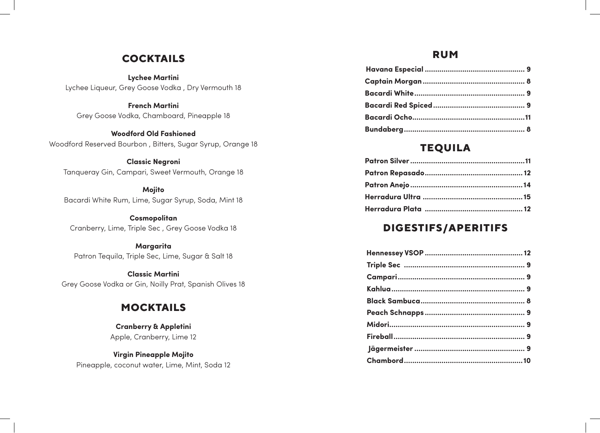### **COCKTAILS**

**Lychee Martini** Lychee Liqueur, Grey Goose Vodka , Dry Vermouth 18

**French Martini** Grey Goose Vodka, Chamboard, Pineapple 18

**Woodford Old Fashioned** Woodford Reserved Bourbon , Bitters, Sugar Syrup, Orange 18

**Classic Negroni**  Tanqueray Gin, Campari, Sweet Vermouth, Orange 18

**Mojito**  Bacardi White Rum, Lime, Sugar Syrup, Soda, Mint 18

**Cosmopolitan** Cranberry, Lime, Triple Sec , Grey Goose Vodka 18

**Margarita** Patron Tequila, Triple Sec, Lime, Sugar & Salt 18

**Classic Martini**  Grey Goose Vodka or Gin, Noilly Prat, Spanish Olives 18

# **MOCKTAILS**

**Cranberry & Appletini**  Apple, Cranberry, Lime 12

**Virgin Pineapple Mojito**  Pineapple, coconut water, Lime, Mint, Soda 12

#### **RUM**

# **TEQUILA**

# **DIGESTIFS/APERITIFS**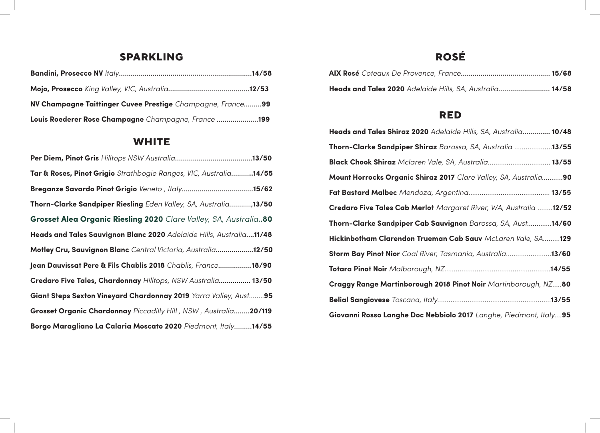## **SPARKLING**

| NV Champagne Taittinger Cuvee Prestige Champagne, France99 |  |
|------------------------------------------------------------|--|
| Louis Roederer Rose Champagne Champagne, France 199        |  |

#### **WHITE**

| Tar & Roses, Pinot Grigio Strathbogie Ranges, VIC, Australia14/55   |
|---------------------------------------------------------------------|
| Breganze Savardo Pinot Grigio Veneto, Italy15/62                    |
| Thorn-Clarke Sandpiper Riesling Eden Valley, SA, Australia,13/50    |
| Grosset Alea Organic Riesling 2020 Clare Valley, SA, Australia80    |
| Heads and Tales Sauvignon Blanc 2020 Adelaide Hills, Australia11/48 |
| Motley Cru, Sauvignon Blanc Central Victoria, Australia12/50        |
| Jean Dauvissat Pere & Fils Chablis 2018 Chablis, France18/90        |
| Credaro Five Tales, Chardonnay Hilltops, NSW Australia 13/50        |
| Giant Steps Sexton Vineyard Chardonnay 2019 Yarra Valley, Aust95    |
| Grosset Organic Chardonnay Piccadilly Hill, NSW, Australia20/119    |
| Borgo Maragliano La Calaria Moscato 2020 Piedmont, Italy14/55       |

# **ROSÉ**

| Heads and Tales 2020 Adelaide Hills, SA, Australia 14/58 |  |
|----------------------------------------------------------|--|

#### **RED**

| Heads and Tales Shiraz 2020 Adelaide Hills, SA, Australia 10/48    |
|--------------------------------------------------------------------|
| Thorn-Clarke Sandpiper Shiraz Barossa, SA, Australia 13/55         |
| Black Chook Shiraz Mclaren Vale, SA, Australia 13/55               |
| Mount Horrocks Organic Shiraz 2017 Clare Valley, SA, Australia90   |
|                                                                    |
| Credaro Five Tales Cab Merlot Margaret River, WA, Australia  12/52 |
| Thorn-Clarke Sandpiper Cab Sauvignon Barossa, SA, Aust14/60        |
| Hickinbotham Clarendon Trueman Cab Sauv McLaren Vale, SA129        |
| <b>Storm Bay Pinot Nior</b> Coal River, Tasmania, Australia13/60   |
|                                                                    |
| Craggy Range Martinborough 2018 Pinot Noir Martinborough, NZ80     |
|                                                                    |
| Giovanni Rosso Langhe Doc Nebbiolo 2017 Langhe, Piedmont, Italy95  |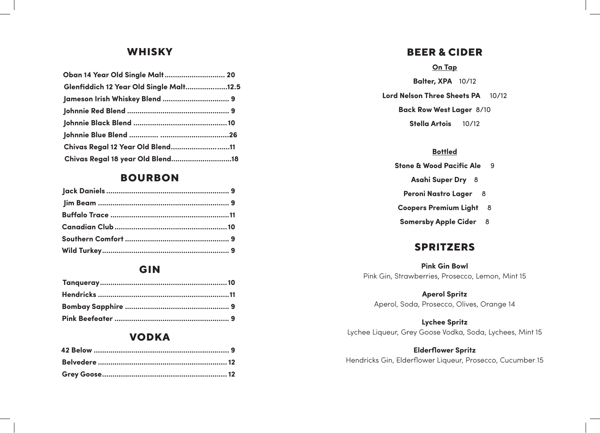#### **WHISKY**

| Oban 14 Year Old Single Malt 20         |  |
|-----------------------------------------|--|
| Glenfiddich 12 Year Old Single Malt12.5 |  |
|                                         |  |
|                                         |  |
|                                         |  |
|                                         |  |
| Chivas Regal 12 Year Old Blend11        |  |
| Chivas Regal 18 year Old Blend18        |  |
|                                         |  |

#### **BOURBON**

#### **GIN**

#### **VODKA**

#### **BEER & CIDER**

#### **On Tap**

**Balter, XPA** 10/12 **Lord Nelson Three Sheets PA** 10/12 **Back Row West Lager** 8/10 **Stella Artois** 10/12

#### **Bottled**

**Stone & Wood Pacific Ale** 9

**Asahi Super Dry** 8

- **Peroni Nastro Lager** 8
- **Coopers Premium Light** 8
- **Somersby Apple Cider** 8

#### **SPRITZERS**

**Pink Gin Bowl**  Pink Gin, Strawberries, Prosecco, Lemon, Mint 15

**Aperol Spritz**  Aperol, Soda, Prosecco, Olives, Orange 14

**Lychee Spritz**  Lychee Liqueur, Grey Goose Vodka, Soda, Lychees, Mint 15

**Elderflower Spritz** Hendricks Gin, Elderflower Liqueur, Prosecco, Cucumber 15